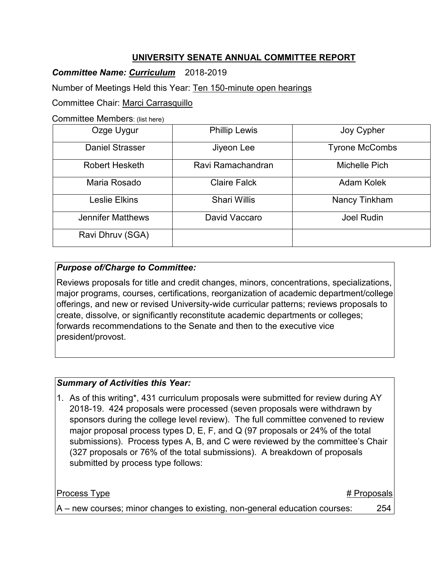## **UNIVERSITY SENATE ANNUAL COMMITTEE REPORT**

*Committee Name: Curriculum* 2018-2019

Number of Meetings Held this Year: Ten 150-minute open hearings

Committee Chair: Marci Carrasquillo

Committee Members: (list here)

| Ozge Uygur               | <b>Phillip Lewis</b> | Joy Cypher            |
|--------------------------|----------------------|-----------------------|
| <b>Daniel Strasser</b>   | Jiyeon Lee           | <b>Tyrone McCombs</b> |
| Robert Hesketh           | Ravi Ramachandran    | Michelle Pich         |
| Maria Rosado             | <b>Claire Falck</b>  | Adam Kolek            |
| Leslie Elkins            | <b>Shari Willis</b>  | Nancy Tinkham         |
| <b>Jennifer Matthews</b> | David Vaccaro        | <b>Joel Rudin</b>     |
| Ravi Dhruv (SGA)         |                      |                       |

### *Purpose of/Charge to Committee:*

Reviews proposals for title and credit changes, minors, concentrations, specializations, major programs, courses, certifications, reorganization of academic department/college offerings, and new or revised University-wide curricular patterns; reviews proposals to create, dissolve, or significantly reconstitute academic departments or colleges; forwards recommendations to the Senate and then to the executive vice president/provost.

### *Summary of Activities this Year:*

1. As of this writing\*, 431 curriculum proposals were submitted for review during AY 2018-19. 424 proposals were processed (seven proposals were withdrawn by sponsors during the college level review). The full committee convened to review major proposal process types D, E, F, and Q (97 proposals or 24% of the total submissions). Process types A, B, and C were reviewed by the committee's Chair (327 proposals or 76% of the total submissions). A breakdown of proposals submitted by process type follows:

| <b>Process Type</b>                                                        | # Proposals |
|----------------------------------------------------------------------------|-------------|
| A – new courses; minor changes to existing, non-general education courses: | 254         |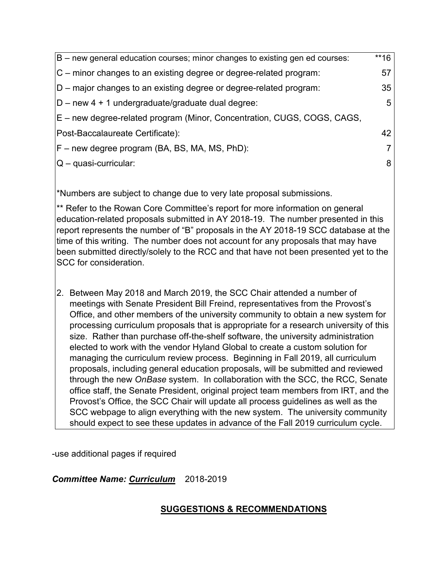| $ B - new$ general education courses; minor changes to existing gen ed courses: | $**16$ |
|---------------------------------------------------------------------------------|--------|
| $ C -$ minor changes to an existing degree or degree-related program:           | 57     |
| D – major changes to an existing degree or degree-related program:              | 35     |
| $ D - new 4 + 1$ undergraduate/graduate dual degree:                            | 5      |
| E – new degree-related program (Minor, Concentration, CUGS, COGS, CAGS,         |        |
| Post-Baccalaureate Certificate):                                                | 42     |
| F – new degree program (BA, BS, MA, MS, PhD):                                   | 7      |
| $ Q - q$ uasi-curricular:                                                       | 8      |
|                                                                                 |        |

\*Numbers are subject to change due to very late proposal submissions.

\*\* Refer to the Rowan Core Committee's report for more information on general education-related proposals submitted in AY 2018-19. The number presented in this report represents the number of "B" proposals in the AY 2018-19 SCC database at the time of this writing. The number does not account for any proposals that may have been submitted directly/solely to the RCC and that have not been presented yet to the SCC for consideration.

2. Between May 2018 and March 2019, the SCC Chair attended a number of meetings with Senate President Bill Freind, representatives from the Provost's Office, and other members of the university community to obtain a new system for processing curriculum proposals that is appropriate for a research university of this size. Rather than purchase off-the-shelf software, the university administration elected to work with the vendor Hyland Global to create a custom solution for managing the curriculum review process. Beginning in Fall 2019, all curriculum proposals, including general education proposals, will be submitted and reviewed through the new *OnBase* system. In collaboration with the SCC, the RCC, Senate office staff, the Senate President, original project team members from IRT, and the Provost's Office, the SCC Chair will update all process guidelines as well as the SCC webpage to align everything with the new system. The university community should expect to see these updates in advance of the Fall 2019 curriculum cycle.

-use additional pages if required

*Committee Name: Curriculum* 2018-2019

# **SUGGESTIONS & RECOMMENDATIONS**